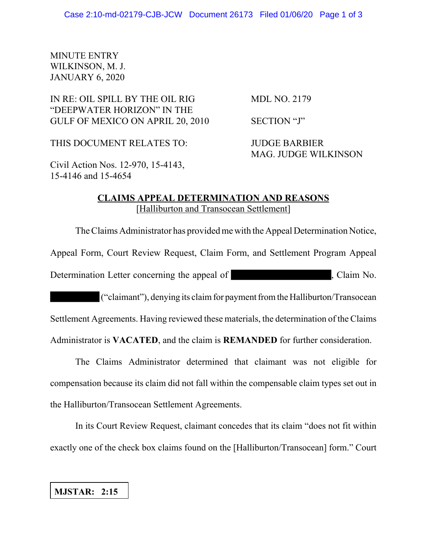## MINUTE ENTRY WILKINSON, M. J. JANUARY 6, 2020

## IN RE: OIL SPILL BY THE OIL RIG MDL NO. 2179 "DEEPWATER HORIZON" IN THE GULF OF MEXICO ON APRIL 20, 2010 SECTION "J"

THIS DOCUMENT RELATES TO: JUDGE BARBIER

MAG. JUDGE WILKINSON

Civil Action Nos. 12-970, 15-4143, 15-4146 and 15-4654

## **CLAIMS APPEAL DETERMINATION AND REASONS** [Halliburton and Transocean Settlement]

The Claims Administrator has provided me with the Appeal Determination Notice,

Appeal Form, Court Review Request, Claim Form, and Settlement Program Appeal

Determination Letter concerning the appeal of the state of the state of the state of  $\sim$  . Claim No.

("claimant"), denying its claim for payment from the Halliburton/Transocean Settlement Agreements. Having reviewed these materials, the determination of the Claims Administrator is **VACATED**, and the claim is **REMANDED** for further consideration.

The Claims Administrator determined that claimant was not eligible for compensation because its claim did not fall within the compensable claim types set out in the Halliburton/Transocean Settlement Agreements.

In its Court Review Request, claimant concedes that its claim "does not fit within exactly one of the check box claims found on the [Halliburton/Transocean] form." Court

## **MJSTAR: 2:15**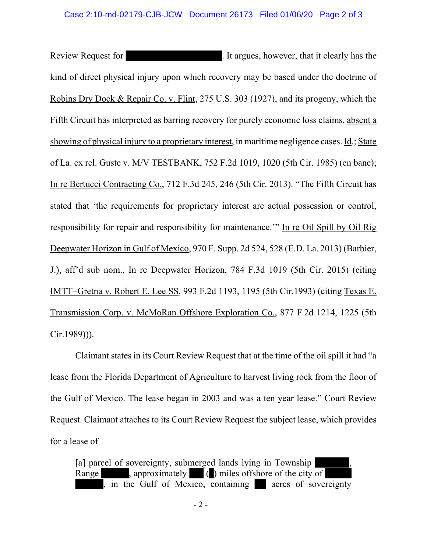Review Request for **Review Request for** the state of the state of the state of the state of the state of the state of the state of the state of the state of the state of the state of the state of the state of the state of kind of direct physical injury upon which recovery may be based under the doctrine of Robins Dry Dock & Repair Co. v. Flint, 275 U.S. 303 (1927), and its progeny, which the Fifth Circuit has interpreted as barring recovery for purely economic loss claims, absent a showing of physical injury to a proprietary interest, in maritime negligence cases. Id.; State of La. ex rel. Guste v. M/V TESTBANK, 752 F.2d 1019, 1020 (5th Cir. 1985) (en banc); In re Bertucci Contracting Co., 712 F.3d 245, 246 (5th Cir. 2013). "The Fifth Circuit has stated that 'the requirements for proprietary interest are actual possession or control, responsibility for repair and responsibility for maintenance.'" In re Oil Spill by Oil Rig Deepwater Horizon in Gulf of Mexico, 970 F. Supp. 2d 524, 528 (E.D. La. 2013) (Barbier, J.), aff'd sub nom., In re Deepwater Horizon, 784 F.3d 1019 (5th Cir. 2015) (citing IMTT–Gretna v. Robert E. Lee SS, 993 F.2d 1193, 1195 (5th Cir.1993) (citing Texas E. Transmission Corp. v. McMoRan Offshore Exploration Co., 877 F.2d 1214, 1225 (5th Cir.1989))).

Claimant states in its Court Review Request that at the time of the oil spill it had "a lease from the Florida Department of Agriculture to harvest living rock from the floor of the Gulf of Mexico. The lease began in 2003 and was a ten year lease." Court Review Request. Claimant attaches to its Court Review Request the subject lease, which provides for a lease of

[a] parcel of sovereignty, submerged lands lying in Township Range , approximately () miles offshore of the city of , in the Gulf of Mexico, containing acres of sovereignty